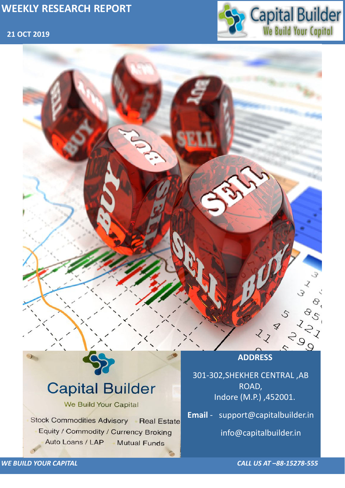## **21 OCT 2019**



*WE BUILD YOUR CAPITAL CALL US AT –88-15278-555*

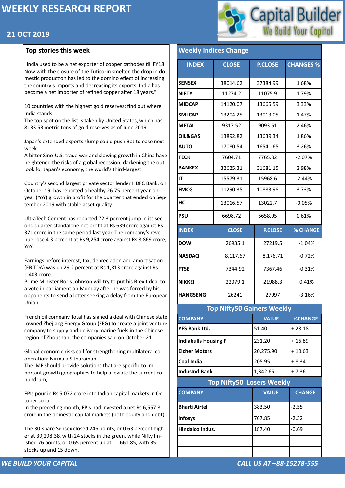### **21 OCT 2019**

*WE BUILD YOUR CAPITAL CALL US AT –88-15278-555*



"India used to be a net exporter of copper cathodes till FY18. Now with the closure of the Tuticorin smelter, the drop in domestic production has led to the domino effect of increasing the country's imports and decreasing its exports. India has become a net importer of refined copper after 18 years,"

10 countries with the highest gold reserves; find out where India stands

The top spot on the list is taken by United States, which has 8133.53 metric tons of gold reserves as of June 2019.

Japan's extended exports slump could push BoJ to ease next week

A bitter Sino-U.S. trade war and slowing growth in China have heightened the risks of a global recession, darkening the outlook for Japan's economy, the world's third-largest.

Country's second largest private sector lender HDFC Bank, on October 19, has reported a healthy 26.75 percent year-onyear (YoY) growth in profit for the quarter that ended on September 2019 with stable asset quality.

UltraTech Cement has reported 72.3 percent jump in its second quarter standalone net profit at Rs 639 crore against Rs 371 crore in the same period last year. The company's revenue rose 4.3 percent at Rs 9,254 crore against Rs 8,869 crore, YoY.

# **Top Nifty50 Losers Weekly [IndusInd Bank](https://money.rediff.com/companies/indusind-bank/14030054)**  $\left| \frac{1,342.65}{1,342.65} \right|$  + 7.36 **COMPANY VALUE CHANGE [Bharti Airtel](https://money.rediff.com/companies/bharti-airtel/15200022) 1988** -2.55 **[Infosys](https://money.rediff.com/companies/infosys/13020007) 2.32 and 2.32 and 2.32 and 2.32 and 2.32 [Hindalco Indus.](https://money.rediff.com/companies/hindalco-indus/15040001)** 187.40  $\left| \cdot 0.69 \right|$

Earnings before interest, tax, depreciation and amortisation (EBITDA) was up 29.2 percent at Rs 1,813 crore against Rs 1,403 crore.

Prime Minister Boris Johnson will try to put his Brexit deal to a vote in parliament on Monday after he was forced by his opponents to send a letter seeking a delay from the European Union.

French oil company Total has signed a deal with Chinese state -owned Zhejiang Energy Group (ZEG) to create a joint venture company to supply and delivery marine fuels in the Chinese region of Zhoushan, the companies said on October 21.

Global economic risks call for strengthening multilateral cooperation: Nirmala Sitharaman

The IMF should provide solutions that are specific to im-



portant growth geographies to help alleviate the current conundrum,

FPIs pour in Rs 5,072 crore into Indian capital markets in October so far

In the preceding month, FPIs had invested a net Rs 6,557.8 crore in the domestic capital markets (both equity and debt).

The 30-share Sensex closed 246 points, or 0.63 percent higher at 39,298.38, with 24 stocks in the green, while Nifty finished 76 points, or 0.65 percent up at 11,661.85, with 35 stocks up and 15 down.

#### **Weekly Indices Change**

| <b>INDEX</b>                      | <b>CLOSE</b> | <b>P.CLOSE</b> | <b>CHANGES %</b> |  |  |  |  |  |
|-----------------------------------|--------------|----------------|------------------|--|--|--|--|--|
| <b>SENSEX</b>                     | 38014.62     | 37384.99       | 1.68%            |  |  |  |  |  |
| <b>NIFTY</b>                      | 11274.2      | 11075.9        | 1.79%            |  |  |  |  |  |
| <b>MIDCAP</b>                     | 14120.07     | 13665.59       | 3.33%            |  |  |  |  |  |
| <b>SMLCAP</b>                     | 13204.25     | 13013.05       | 1.47%            |  |  |  |  |  |
| <b>METAL</b>                      | 9317.52      | 9093.61        | 2.46%            |  |  |  |  |  |
| <b>OIL&amp;GAS</b>                | 13892.82     | 13639.34       | 1.86%            |  |  |  |  |  |
| <b>AUTO</b>                       | 17080.54     | 16541.65       | 3.26%            |  |  |  |  |  |
| <b>TECK</b>                       | 7604.71      | 7765.82        | $-2.07%$         |  |  |  |  |  |
| <b>BANKEX</b>                     | 32625.31     | 31681.15       | 2.98%            |  |  |  |  |  |
| IT                                | 15579.31     | 15968.6        | $-2.44%$         |  |  |  |  |  |
| <b>FMCG</b>                       | 11290.35     | 10883.98       | 3.73%            |  |  |  |  |  |
| HC                                | 13016.57     | 13022.7        | $-0.05%$         |  |  |  |  |  |
| <b>PSU</b>                        | 6698.72      | 6658.05        | 0.61%            |  |  |  |  |  |
| <b>INDEX</b>                      | <b>CLOSE</b> | <b>P.CLOSE</b> | <b>% CHANGE</b>  |  |  |  |  |  |
| <b>DOW</b>                        | 26935.1      | 27219.5        | $-1.04%$         |  |  |  |  |  |
| <b>NASDAQ</b>                     | 8,117.67     | 8,176.71       | $-0.72%$         |  |  |  |  |  |
| <b>FTSE</b>                       | 7344.92      | 7367.46        | $-0.31%$         |  |  |  |  |  |
| <b>NIKKEI</b>                     | 22079.1      | 21988.3        | 0.41%            |  |  |  |  |  |
| <b>HANGSENG</b>                   | 26241        | 27097          | $-3.16%$         |  |  |  |  |  |
| <b>Top Nifty50 Gainers Weekly</b> |              |                |                  |  |  |  |  |  |
| <b>COMPANY</b>                    |              | <b>VALUE</b>   | <b>%CHANGE</b>   |  |  |  |  |  |
| <b>YES Bank Ltd.</b>              |              | 51.40          | $+28.18$         |  |  |  |  |  |
| <b>Indiabulls Housing F</b>       |              | 231.20         | $+16.89$         |  |  |  |  |  |
| <b>Eicher Motors</b>              |              | 20,275.90      | $+10.63$         |  |  |  |  |  |
| <b>Coal India</b>                 |              | 205.95         | $+8.34$          |  |  |  |  |  |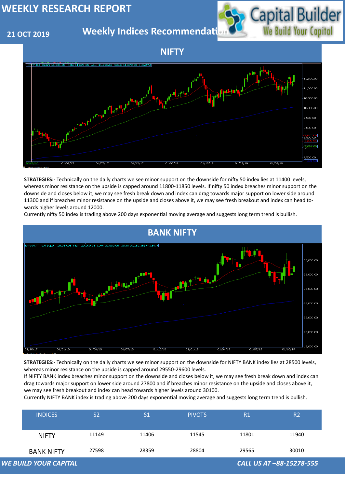#### **21 OCT 2019**

**Weekly Indices Recommendati** 

| <b>INDICES</b>               | S <sub>2</sub> | S <sub>1</sub> | <b>PIVOTS</b> | R1    | R2                       |
|------------------------------|----------------|----------------|---------------|-------|--------------------------|
| <b>NIFTY</b>                 | 11149          | 11406          | 11545         | 11801 | 11940                    |
| <b>BANK NIFTY</b>            | 27598          | 28359          | 28804         | 29565 | 30010                    |
| <b>WE BUILD YOUR CAPITAL</b> |                |                |               |       | CALL US AT -88-15278-555 |







**STRATEGIES:-** Technically on the daily charts we see minor support on the downside for nifty 50 index lies at 11400 levels, whereas minor resistance on the upside is capped around 11800-11850 levels. If nifty 50 index breaches minor support on the downside and closes below it, we may see fresh break down and index can drag towards major support on lower side around 11300 and if breaches minor resistance on the upside and closes above it, we may see fresh breakout and index can head towards higher levels around 12000.



**STRATEGIES:-** Technically on the daily charts we see minor support on the downside for NIFTY BANK index lies at 28500 levels,

whereas minor resistance on the upside is capped around 29550-29600 levels.

If NIFTY BANK index breaches minor support on the downside and closes below it, we may see fresh break down and index can drag towards major support on lower side around 27800 and if breaches minor resistance on the upside and closes above it, we may see fresh breakout and index can head towards higher levels around 30100.

Currently NIFTY BANK index is trading above 200 days exponential moving average and suggests long term trend is bullish.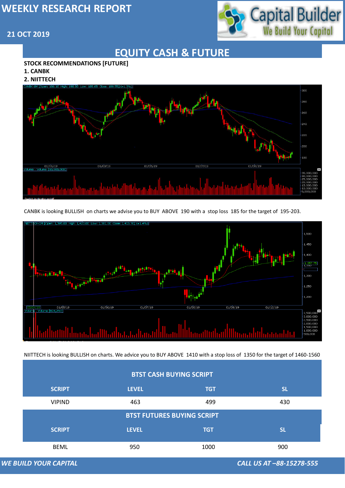#### **21 OCT 2019**



*WE BUILD YOUR CAPITAL CALL US AT –88-15278-555*

## **EQUITY CASH & FUTURE**

#### **STOCK RECOMMENDATIONS [FUTURE]**

- **1. CANBK**
- **2. NIITTECH**



CANBK is looking BULLISH on charts we advise you to BUY ABOVE 190 with a stop loss 185 for the target of 195-203.





#### **WE BUILD YOUR CAPITAL**

NIITTECH is looking BULLISH on charts. We advice you to BUY ABOVE 1410 with a stop loss of 1350 for the target of 1460-1560